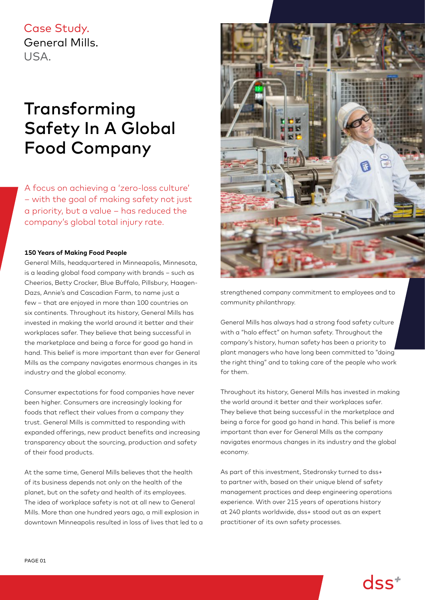# Case Study. General Mills.  $I$  $ISA$

# Transforming Safety In A Global Food Company

A focus on achieving a 'zero-loss culture' – with the goal of making safety not just a priority, but a value – has reduced the company's global total injury rate.

### **150 Years of Making Food People**

General Mills, headquartered in Minneapolis, Minnesota, is a leading global food company with brands – such as Cheerios, Betty Crocker, Blue Buffalo, Pillsbury, Haagen-Dazs, Annie's and Cascadian Farm, to name just a few – that are enjoyed in more than 100 countries on six continents. Throughout its history, General Mills has invested in making the world around it better and their workplaces safer. They believe that being successful in the marketplace and being a force for good go hand in hand. This belief is more important than ever for General Mills as the company navigates enormous changes in its industry and the global economy.

Consumer expectations for food companies have never been higher. Consumers are increasingly looking for foods that reflect their values from a company they trust. General Mills is committed to responding with expanded offerings, new product benefits and increasing transparency about the sourcing, production and safety of their food products.

At the same time, General Mills believes that the health of its business depends not only on the health of the planet, but on the safety and health of its employees. The idea of workplace safety is not at all new to General Mills. More than one hundred years ago, a mill explosion in downtown Minneapolis resulted in loss of lives that led to a



strengthened company commitment to employees and to community philanthropy.

General Mills has always had a strong food safety culture with a "halo effect" on human safety. Throughout the company's history, human safety has been a priority to plant managers who have long been committed to "doing the right thing" and to taking care of the people who work for them.

Throughout its history, General Mills has invested in making the world around it better and their workplaces safer. They believe that being successful in the marketplace and being a force for good go hand in hand. This belief is more important than ever for General Mills as the company navigates enormous changes in its industry and the global economy.

As part of this investment, Stedronsky turned to dss+ to partner with, based on their unique blend of safety management practices and deep engineering operations experience. With over 215 years of operations history at 240 plants worldwide, dss+ stood out as an expert practitioner of its own safety processes.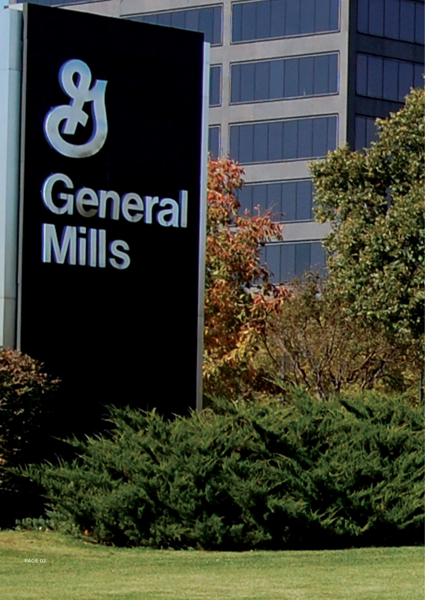# **General**<br>Mills

PAGE 02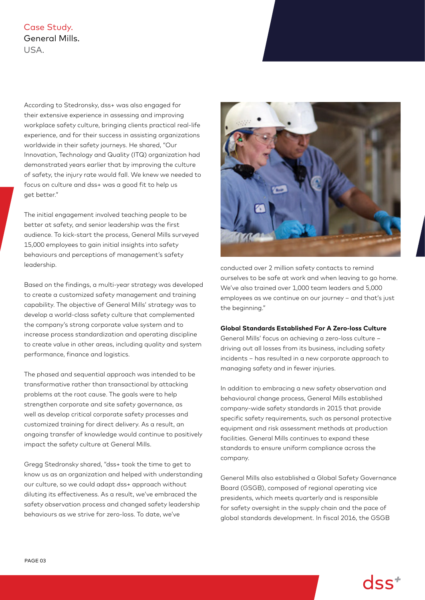# Case Study. General Mills. USA.

According to Stedronsky, dss+ was also engaged for their extensive experience in assessing and improving workplace safety culture, bringing clients practical real-life experience, and for their success in assisting organizations worldwide in their safety journeys. He shared, "Our Innovation, Technology and Quality (ITQ) organization had demonstrated years earlier that by improving the culture of safety, the injury rate would fall. We knew we needed to focus on culture and dss+ was a good fit to help us get better."

The initial engagement involved teaching people to be better at safety, and senior leadership was the first audience. To kick-start the process, General Mills surveyed 15,000 employees to gain initial insights into safety behaviours and perceptions of management's safety leadership.

Based on the findings, a multi-year strategy was developed to create a customized safety management and training capability. The objective of General Mills' strategy was to develop a world-class safety culture that complemented the company's strong corporate value system and to increase process standardization and operating discipline to create value in other areas, including quality and system performance, finance and logistics.

The phased and sequential approach was intended to be transformative rather than transactional by attacking problems at the root cause. The goals were to help strengthen corporate and site safety governance, as well as develop critical corporate safety processes and customized training for direct delivery. As a result, an ongoing transfer of knowledge would continue to positively impact the safety culture at General Mills.

Gregg Stedronsky shared, "dss+ took the time to get to know us as an organization and helped with understanding our culture, so we could adapt dss+ approach without diluting its effectiveness. As a result, we've embraced the safety observation process and changed safety leadership behaviours as we strive for zero-loss. To date, we've



conducted over 2 million safety contacts to remind ourselves to be safe at work and when leaving to go home. We've also trained over 1,000 team leaders and 5,000 employees as we continue on our journey – and that's just the beginning."

### **Global Standards Established For A Zero-loss Culture**

General Mills' focus on achieving a zero-loss culture – driving out all losses from its business, including safety incidents – has resulted in a new corporate approach to managing safety and in fewer injuries.

In addition to embracing a new safety observation and behavioural change process, General Mills established company-wide safety standards in 2015 that provide specific safety requirements, such as personal protective equipment and risk assessment methods at production facilities. General Mills continues to expand these standards to ensure uniform compliance across the company.

General Mills also established a Global Safety Governance Board (GSGB), composed of regional operating vice presidents, which meets quarterly and is responsible for safety oversight in the supply chain and the pace of global standards development. In fiscal 2016, the GSGB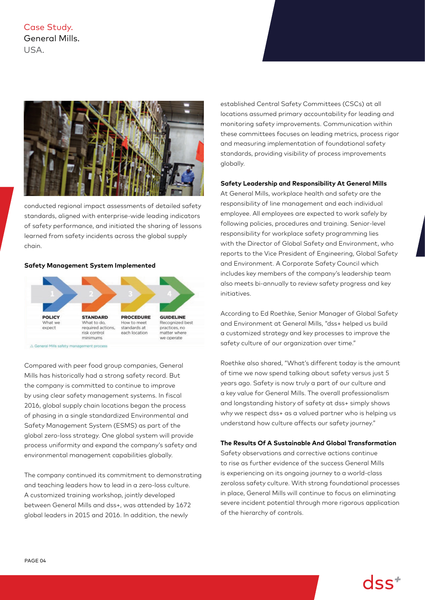Case Study. General Mills. USA.



conducted regional impact assessments of detailed safety standards, aligned with enterprise-wide leading indicators of safety performance, and initiated the sharing of lessons learned from safety incidents across the global supply chain.

### **Safety Management System Implemented**



Compared with peer food group companies, General Mills has historically had a strong safety record. But the company is committed to continue to improve by using clear safety management systems. In fiscal 2016, global supply chain locations began the process of phasing in a single standardized Environmental and Safety Management System (ESMS) as part of the global zero-loss strategy. One global system will provide process uniformity and expand the company's safety and environmental management capabilities globally.

The company continued its commitment to demonstrating and teaching leaders how to lead in a zero-loss culture. A customized training workshop, jointly developed between General Mills and dss+, was attended by 1672 global leaders in 2015 and 2016. In addition, the newly

established Central Safety Committees (CSCs) at all locations assumed primary accountability for leading and monitoring safety improvements. Communication within these committees focuses on leading metrics, process rigor and measuring implementation of foundational safety standards, providing visibility of process improvements globally.

### **Safety Leadership and Responsibility At General Mills**

At General Mills, workplace health and safety are the responsibility of line management and each individual employee. All employees are expected to work safely by following policies, procedures and training. Senior-level responsibility for workplace safety programming lies with the Director of Global Safety and Environment, who reports to the Vice President of Engineering, Global Safety and Environment. A Corporate Safety Council which includes key members of the company's leadership team also meets bi-annually to review safety progress and key initiatives.

According to Ed Roethke, Senior Manager of Global Safety and Environment at General Mills, "dss+ helped us build a customized strategy and key processes to improve the safety culture of our organization over time."

Roethke also shared, "What's different today is the amount of time we now spend talking about safety versus just 5 years ago. Safety is now truly a part of our culture and a key value for General Mills. The overall professionalism and longstanding history of safety at dss+ simply shows why we respect dss+ as a valued partner who is helping us understand how culture affects our safety journey."

### **The Results Of A Sustainable And Global Transformation**

Safety observations and corrective actions continue to rise as further evidence of the success General Mills is experiencing on its ongoing journey to a world-class zeroloss safety culture. With strong foundational processes in place, General Mills will continue to focus on eliminating severe incident potential through more rigorous application of the hierarchy of controls.